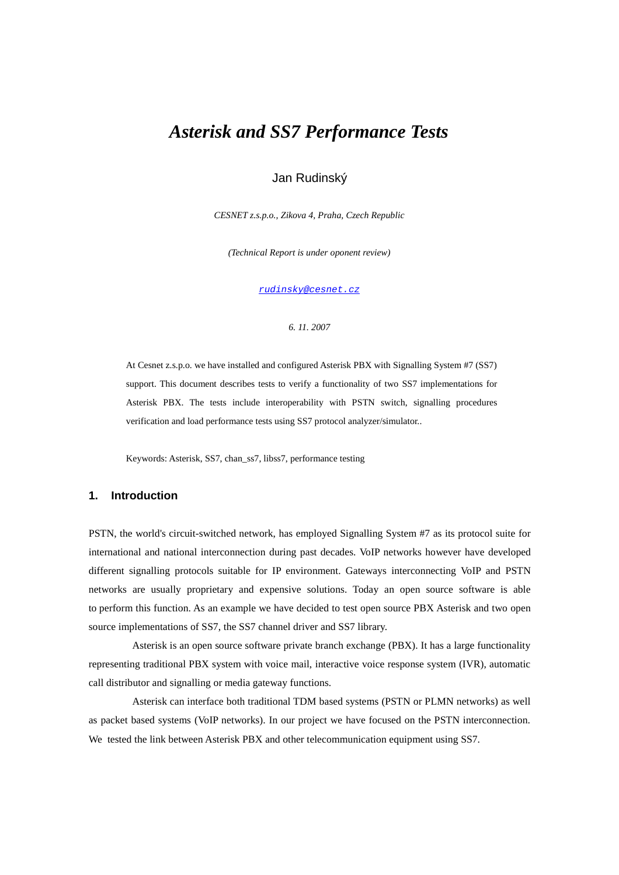# *Asterisk and SS7 Performance Tests*

# Jan Rudinský

*CESNET z.s.p.o., Zikova 4, Praha, Czech Republic*

*(Technical Report is under oponent review)*

rudinsky@cesnet.cz

#### *6. 11. 2007*

At Cesnet z.s.p.o. we have installed and configured Asterisk PBX with Signalling System #7 (SS7) support. This document describes tests to verify a functionality of two SS7 implementations for Asterisk PBX. The tests include interoperability with PSTN switch, signalling procedures verification and load performance tests using SS7 protocol analyzer/simulator..

Keywords: Asterisk, SS7, chan\_ss7, libss7, performance testing

#### **1. Introduction**

PSTN, the world's circuit-switched network, has employed Signalling System #7 as its protocol suite for international and national interconnection during past decades. VoIP networks however have developed different signalling protocols suitable for IP environment. Gateways interconnecting VoIP and PSTN networks are usually proprietary and expensive solutions. Today an open source software is able to perform this function. As an example we have decided to test open source PBX Asterisk and two open source implementations of SS7, the SS7 channel driver and SS7 library.

Asterisk is an open source software private branch exchange (PBX). It has a large functionality representing traditional PBX system with voice mail, interactive voice response system (IVR), automatic call distributor and signalling or media gateway functions.

Asterisk can interface both traditional TDM based systems (PSTN or PLMN networks) as well as packet based systems (VoIP networks). In our project we have focused on the PSTN interconnection. We tested the link between Asterisk PBX and other telecommunication equipment using SS7.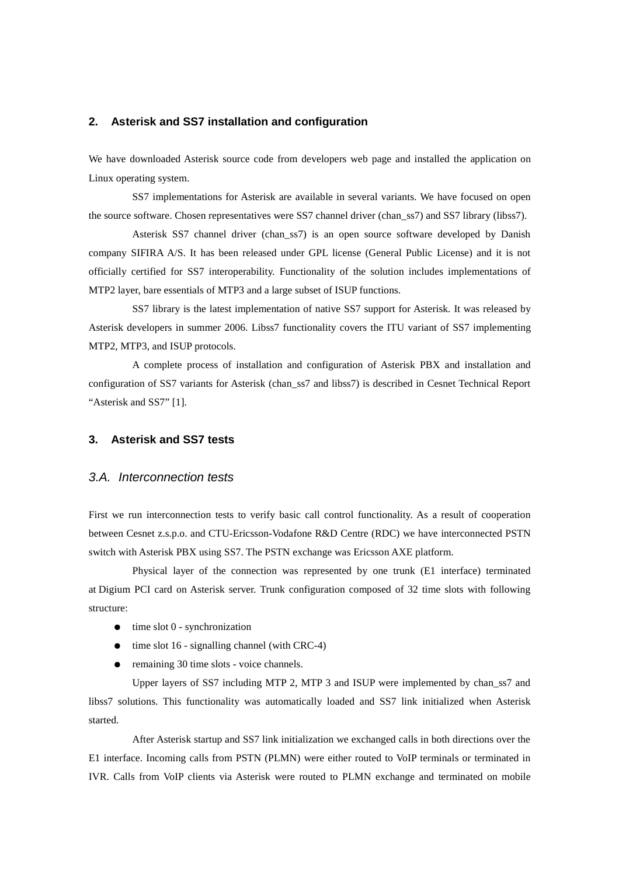#### **2. Asterisk and SS7 installation and configuration**

We have downloaded Asterisk source code from developers web page and installed the application on Linux operating system.

SS7 implementations for Asterisk are available in several variants. We have focused on open the source software. Chosen representatives were SS7 channel driver (chan\_ss7) and SS7 library (libss7).

Asterisk SS7 channel driver (chan\_ss7) is an open source software developed by Danish company SIFIRA A/S. It has been released under GPL license (General Public License) and it is not officially certified for SS7 interoperability. Functionality of the solution includes implementations of MTP2 layer, bare essentials of MTP3 and a large subset of ISUP functions.

SS7 library is the latest implementation of native SS7 support for Asterisk. It was released by Asterisk developers in summer 2006. Libss7 functionality covers the ITU variant of SS7 implementing MTP2, MTP3, and ISUP protocols.

A complete process of installation and configuration of Asterisk PBX and installation and configuration of SS7 variants for Asterisk (chan\_ss7 and libss7) is described in Cesnet Technical Report "Asterisk and SS7" [1].

### **3. Asterisk and SS7 tests**

#### 3.A. Interconnection tests

First we run interconnection tests to verify basic call control functionality. As a result of cooperation between Cesnet z.s.p.o. and CTU-Ericsson-Vodafone R&D Centre (RDC) we have interconnected PSTN switch with Asterisk PBX using SS7. The PSTN exchange was Ericsson AXE platform.

Physical layer of the connection was represented by one trunk (E1 interface) terminated at Digium PCI card on Asterisk server. Trunk configuration composed of 32 time slots with following structure:

- $\bullet$  time slot 0 synchronization
- $\bullet$  time slot 16 signalling channel (with CRC-4)
- remaining 30 time slots voice channels.

Upper layers of SS7 including MTP 2, MTP 3 and ISUP were implemented by chan\_ss7 and libss7 solutions. This functionality was automatically loaded and SS7 link initialized when Asterisk started.

After Asterisk startup and SS7 link initialization we exchanged calls in both directions over the E1 interface. Incoming calls from PSTN (PLMN) were either routed to VoIP terminals or terminated in IVR. Calls from VoIP clients via Asterisk were routed to PLMN exchange and terminated on mobile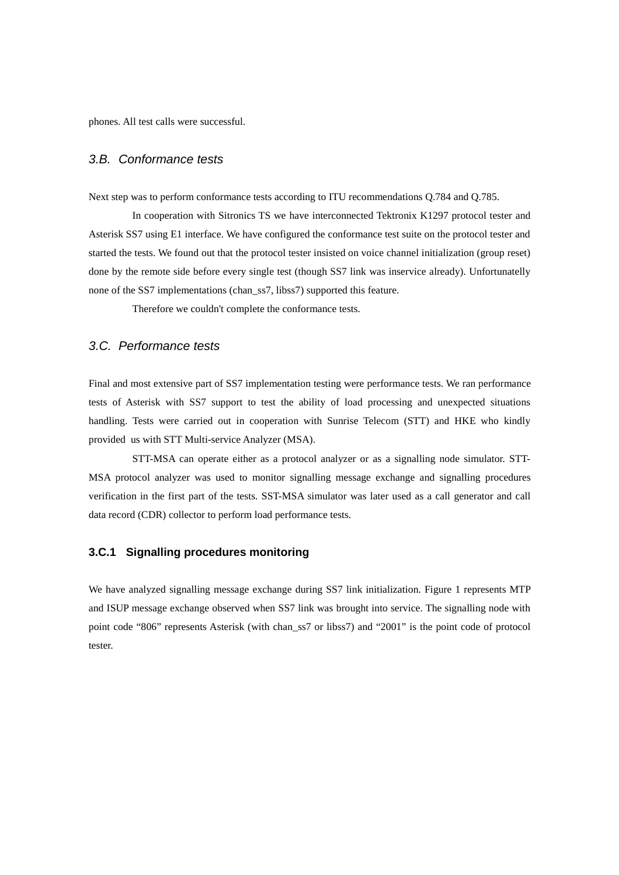phones. All test calls were successful.

#### 3.B. Conformance tests

Next step was to perform conformance tests according to ITU recommendations Q.784 and Q.785.

In cooperation with Sitronics TS we have interconnected Tektronix K1297 protocol tester and Asterisk SS7 using E1 interface. We have configured the conformance test suite on the protocol tester and started the tests. We found out that the protocol tester insisted on voice channel initialization (group reset) done by the remote side before every single test (though SS7 link was inservice already). Unfortunatelly none of the SS7 implementations (chan\_ss7, libss7) supported this feature.

Therefore we couldn't complete the conformance tests.

#### 3.C. Performance tests

Final and most extensive part of SS7 implementation testing were performance tests. We ran performance tests of Asterisk with SS7 support to test the ability of load processing and unexpected situations handling. Tests were carried out in cooperation with Sunrise Telecom (STT) and HKE who kindly provided us with STT Multi-service Analyzer (MSA).

STT-MSA can operate either as a protocol analyzer or as a signalling node simulator. STT-MSA protocol analyzer was used to monitor signalling message exchange and signalling procedures verification in the first part of the tests. SST-MSA simulator was later used as a call generator and call data record (CDR) collector to perform load performance tests.

# **3.C.1 Signalling procedures monitoring**

We have analyzed signalling message exchange during SS7 link initialization. Figure 1 represents MTP and ISUP message exchange observed when SS7 link was brought into service. The signalling node with point code "806" represents Asterisk (with chan\_ss7 or libss7) and "2001" is the point code of protocol tester.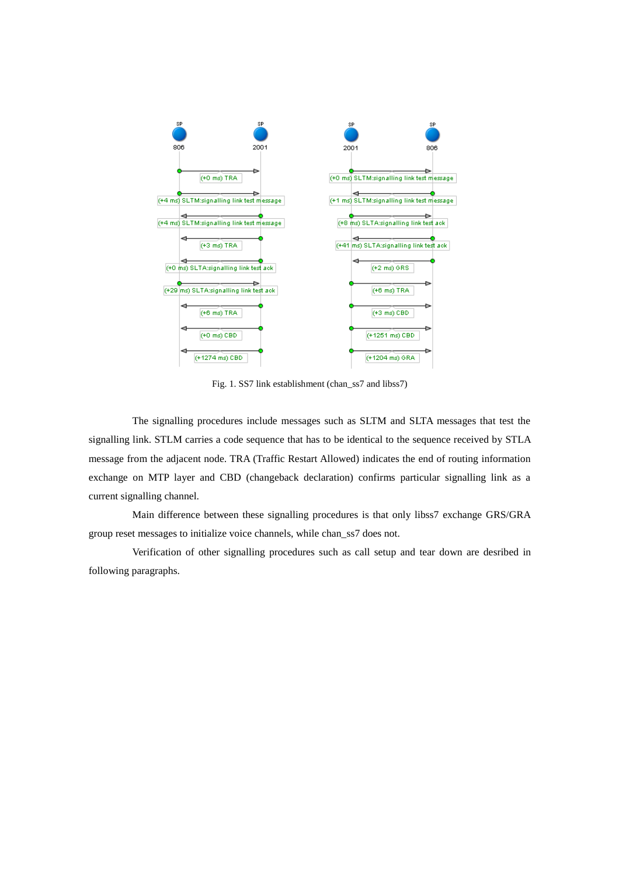

Fig. 1. SS7 link establishment (chan\_ss7 and libss7)

The signalling procedures include messages such as SLTM and SLTA messages that test the signalling link. STLM carries a code sequence that has to be identical to the sequence received by STLA message from the adjacent node. TRA (Traffic Restart Allowed) indicates the end of routing information exchange on MTP layer and CBD (changeback declaration) confirms particular signalling link as a current signalling channel.

Main difference between these signalling procedures is that only libss7 exchange GRS/GRA group reset messages to initialize voice channels, while chan\_ss7 does not.

Verification of other signalling procedures such as call setup and tear down are desribed in following paragraphs.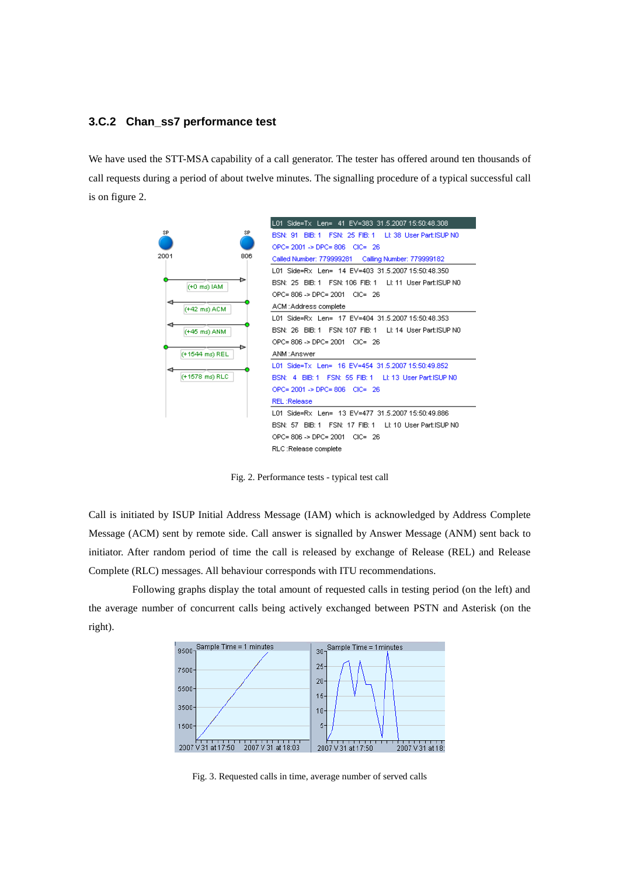# **3.C.2 Chan\_ss7 performance test**

We have used the STT-MSA capability of a call generator. The tester has offered around ten thousands of call requests during a period of about twelve minutes. The signalling procedure of a typical successful call is on figure 2.

|                   | L01 Side=Tx Len= 41 EV=383 31.5.2007 15:50:48.308                    |
|-------------------|----------------------------------------------------------------------|
| SP.<br>SP.        | BIB: 1 FSN: 25 FIB: 1 Lt: 38 User Part: ISUP NO<br><b>BSN: 91</b>    |
|                   | OPC= 2001 -> DPC= 806 CIC= 26                                        |
| 2001<br>806       | Called Number: 779999281<br>Calling Number: 779999182                |
|                   | L01 Side=Rx Len= 14 EV=403 31.5.2007 15:50:48.350                    |
| (+0 ms) IAM       | BSN: 25 BIB: 1 FSN: 106 FIB: 1 LI: 11 User Part: ISUP NO             |
|                   | OPC= 806 -> DPC= 2001<br>$CIC = 26$                                  |
| ⊲<br>(+42 ms) ACM | ACM :Address complete                                                |
|                   | L01 Side=Rx Len= 17 EV=404 31.5.2007 15:50:48.353                    |
| ⊲<br>(+45 ms) ANM | BSN: 26 BIB: 1 FSN: 107 FIB: 1<br>LE 14 Liser Part ISUP NO           |
|                   | OPC=806 -> DPC=2001 CIC=26                                           |
| (+1544 ms) REL    | ANM:Answer                                                           |
|                   | L01 Side=Tx Len= 16 EV=454 31.5.2007 15:50:49.852                    |
| (+1578 ms) RLC    | <b>BSN: 4 BIB: 1</b><br>FSN: 55 FIB: 1 Lt: 13 User Part: ISUP N0     |
|                   | OPC= 2001 -> DPC= 806 CIC= 26                                        |
|                   | <b>REL:Release</b>                                                   |
|                   | L01 Side=Rx Len= 13 EV=477 31.5.2007 15:50:49.886                    |
|                   | FSN: 17 FIB: 1 LI: 10 User Part: ISUP N0<br><b>BSN: 57</b><br>BIB: 1 |
|                   | OPC= 806 -> DPC= 2001<br>$CIC = 26$                                  |
|                   | RLC:Release complete                                                 |

Fig. 2. Performance tests - typical test call

Call is initiated by ISUP Initial Address Message (IAM) which is acknowledged by Address Complete Message (ACM) sent by remote side. Call answer is signalled by Answer Message (ANM) sent back to initiator. After random period of time the call is released by exchange of Release (REL) and Release Complete (RLC) messages. All behaviour corresponds with ITU recommendations.

Following graphs display the total amount of requested calls in testing period (on the left) and the average number of concurrent calls being actively exchanged between PSTN and Asterisk (on the right).



Fig. 3. Requested calls in time, average number of served calls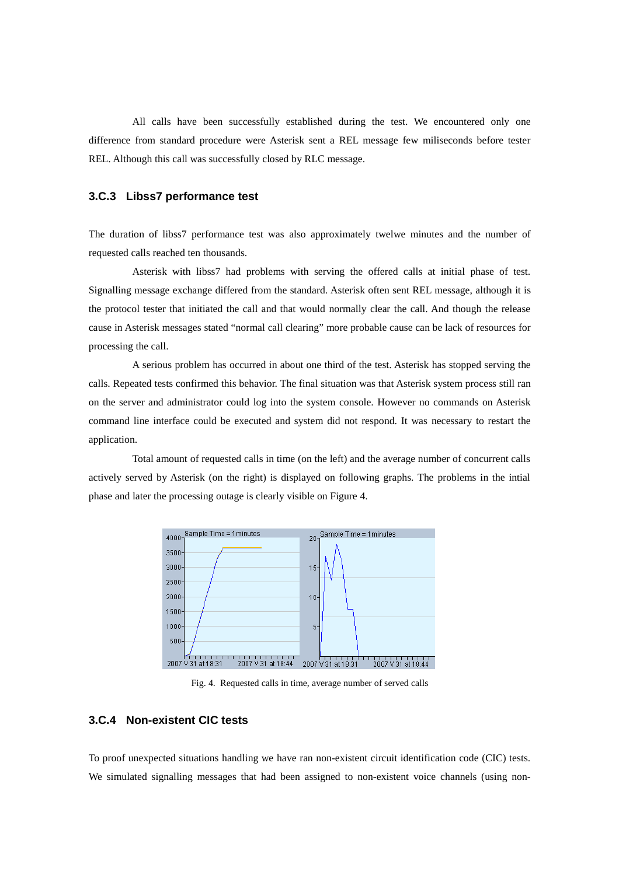All calls have been successfully established during the test. We encountered only one difference from standard procedure were Asterisk sent a REL message few miliseconds before tester REL. Although this call was successfully closed by RLC message.

#### **3.C.3 Libss7 performance test**

The duration of libss7 performance test was also approximately twelwe minutes and the number of requested calls reached ten thousands.

Asterisk with libss7 had problems with serving the offered calls at initial phase of test. Signalling message exchange differed from the standard. Asterisk often sent REL message, although it is the protocol tester that initiated the call and that would normally clear the call. And though the release cause in Asterisk messages stated "normal call clearing" more probable cause can be lack of resources for processing the call.

A serious problem has occurred in about one third of the test. Asterisk has stopped serving the calls. Repeated tests confirmed this behavior. The final situation was that Asterisk system process still ran on the server and administrator could log into the system console. However no commands on Asterisk command line interface could be executed and system did not respond. It was necessary to restart the application.

Total amount of requested calls in time (on the left) and the average number of concurrent calls actively served by Asterisk (on the right) is displayed on following graphs. The problems in the intial phase and later the processing outage is clearly visible on Figure 4.



Fig. 4. Requested calls in time, average number of served calls

# **3.C.4 Non-existent CIC tests**

To proof unexpected situations handling we have ran non-existent circuit identification code (CIC) tests. We simulated signalling messages that had been assigned to non-existent voice channels (using non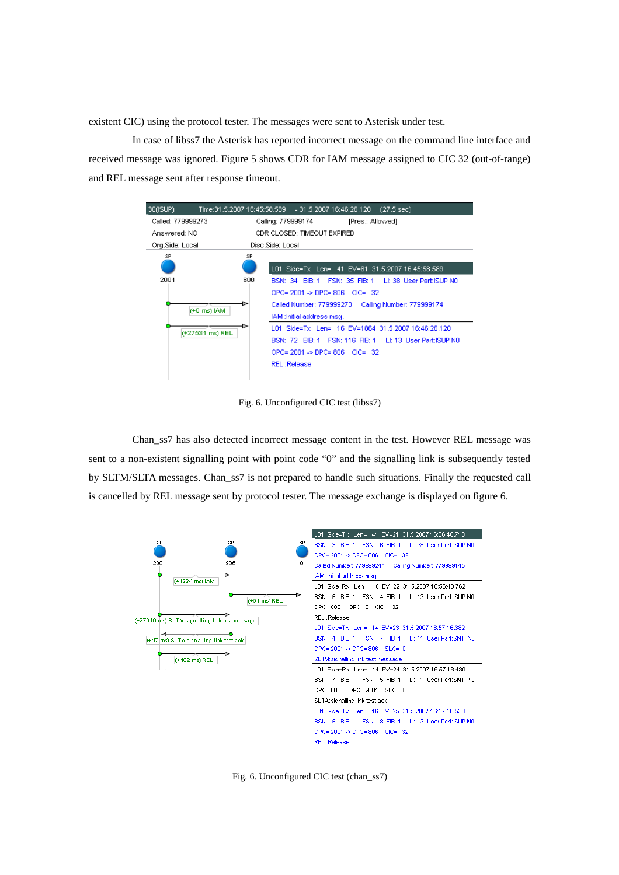existent CIC) using the protocol tester. The messages were sent to Asterisk under test.

In case of libss7 the Asterisk has reported incorrect message on the command line interface and received message was ignored. Figure 5 shows CDR for IAM message assigned to CIC 32 (out-of-range) and REL message sent after response timeout.



Fig. 6. Unconfigured CIC test (libss7)

Chan\_ss7 has also detected incorrect message content in the test. However REL message was sent to a non-existent signalling point with point code "0" and the signalling link is subsequently tested by SLTM/SLTA messages. Chan\_ss7 is not prepared to handle such situations. Finally the requested call is cancelled by REL message sent by protocol tester. The message exchange is displayed on figure 6.



Fig. 6. Unconfigured CIC test (chan\_ss7)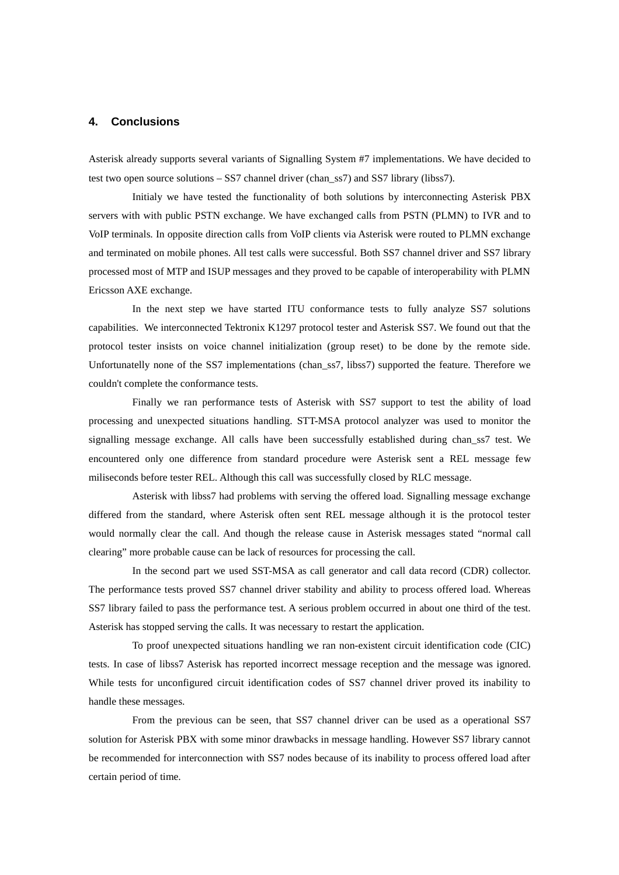#### **4. Conclusions**

Asterisk already supports several variants of Signalling System #7 implementations. We have decided to test two open source solutions – SS7 channel driver (chan\_ss7) and SS7 library (libss7).

Initialy we have tested the functionality of both solutions by interconnecting Asterisk PBX servers with with public PSTN exchange. We have exchanged calls from PSTN (PLMN) to IVR and to VoIP terminals. In opposite direction calls from VoIP clients via Asterisk were routed to PLMN exchange and terminated on mobile phones. All test calls were successful. Both SS7 channel driver and SS7 library processed most of MTP and ISUP messages and they proved to be capable of interoperability with PLMN Ericsson AXE exchange.

In the next step we have started ITU conformance tests to fully analyze SS7 solutions capabilities. We interconnected Tektronix K1297 protocol tester and Asterisk SS7. We found out that the protocol tester insists on voice channel initialization (group reset) to be done by the remote side. Unfortunatelly none of the SS7 implementations (chan\_ss7, libss7) supported the feature. Therefore we couldn't complete the conformance tests.

Finally we ran performance tests of Asterisk with SS7 support to test the ability of load processing and unexpected situations handling. STT-MSA protocol analyzer was used to monitor the signalling message exchange. All calls have been successfully established during chan\_ss7 test. We encountered only one difference from standard procedure were Asterisk sent a REL message few miliseconds before tester REL. Although this call was successfully closed by RLC message.

Asterisk with libss7 had problems with serving the offered load. Signalling message exchange differed from the standard, where Asterisk often sent REL message although it is the protocol tester would normally clear the call. And though the release cause in Asterisk messages stated "normal call clearing" more probable cause can be lack of resources for processing the call.

In the second part we used SST-MSA as call generator and call data record (CDR) collector. The performance tests proved SS7 channel driver stability and ability to process offered load. Whereas SS7 library failed to pass the performance test. A serious problem occurred in about one third of the test. Asterisk has stopped serving the calls. It was necessary to restart the application.

To proof unexpected situations handling we ran non-existent circuit identification code (CIC) tests. In case of libss7 Asterisk has reported incorrect message reception and the message was ignored. While tests for unconfigured circuit identification codes of SS7 channel driver proved its inability to handle these messages.

From the previous can be seen, that SS7 channel driver can be used as a operational SS7 solution for Asterisk PBX with some minor drawbacks in message handling. However SS7 library cannot be recommended for interconnection with SS7 nodes because of its inability to process offered load after certain period of time.